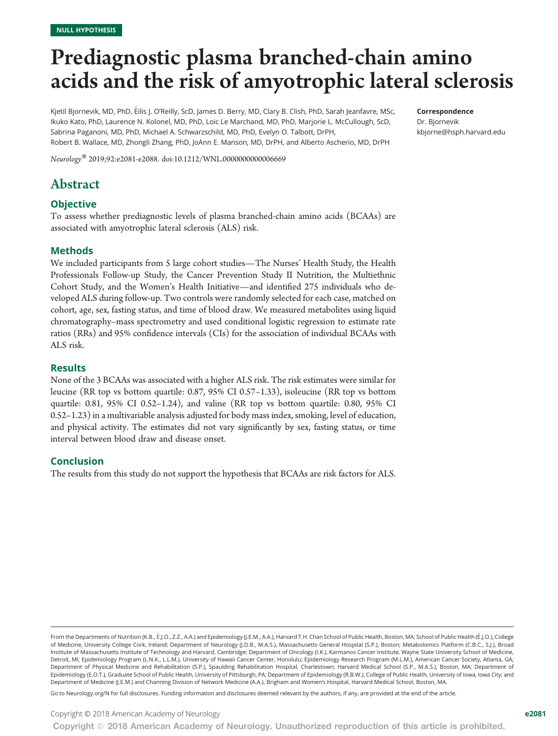# Prediagnostic plasma branched-chain amino acids and the risk of amyotrophic lateral sclerosis

Kjetil Bjornevik, MD, PhD, Eilis J. O'Reilly, ScD, James D. Berry, MD, Clary B. Clish, PhD, Sarah Jeanfavre, MSc, Ikuko Kato, PhD, Laurence N. Kolonel, MD, PhD, Loic Le Marchand, MD, PhD, Marjorie L. McCullough, ScD, Sabrina Paganoni, MD, PhD, Michael A. Schwarzschild, MD, PhD, Evelyn O. Talbott, DrPH, Robert B. Wallace, MD, Zhongli Zhang, PhD, JoAnn E. Manson, MD, DrPH, and Alberto Ascherio, MD, DrPH

Neurology® 2019;92:e2081-e2088. doi[:10.1212/WNL.0000000000006669](http://dx.doi.org/10.1212/WNL.0000000000006669)

# Abstract

### **Objective**

To assess whether prediagnostic levels of plasma branched-chain amino acids (BCAAs) are associated with amyotrophic lateral sclerosis (ALS) risk.

#### Methods

We included participants from 5 large cohort studies—The Nurses' Health Study, the Health Professionals Follow-up Study, the Cancer Prevention Study II Nutrition, the Multiethnic Cohort Study, and the Women's Health Initiative—and identified 275 individuals who developed ALS during follow-up. Two controls were randomly selected for each case, matched on cohort, age, sex, fasting status, and time of blood draw. We measured metabolites using liquid chromatography–mass spectrometry and used conditional logistic regression to estimate rate ratios (RRs) and 95% confidence intervals (CIs) for the association of individual BCAAs with ALS risk.

#### **Results**

None of the 3 BCAAs was associated with a higher ALS risk. The risk estimates were similar for leucine (RR top vs bottom quartile: 0.87, 95% CI 0.57–1.33), isoleucine (RR top vs bottom quartile: 0.81, 95% CI 0.52–1.24), and valine (RR top vs bottom quartile: 0.80, 95% CI 0.52–1.23) in a multivariable analysis adjusted for body mass index, smoking, level of education, and physical activity. The estimates did not vary significantly by sex, fasting status, or time interval between blood draw and disease onset.

#### Conclusion

The results from this study do not support the hypothesis that BCAAs are risk factors for ALS.

Go to [Neurology.org/N](http://n.neurology.org/lookup/doi/10.1212/WNL.0000000000006669) for full disclosures. Funding information and disclosures deemed relevant by the authors, if any, are provided at the end of the article.

Copyright © 2018 American Academy of Neurology e2081

Dr. Bjornevik [kbjorne@hsph.harvard.edu](mailto:kbjorne@hsph.harvard.edu)

From the Departments of Nutrition (K.B., É.J.O., Z.Z., A.A.) and Epidemiology (J.E.M., A.A.), Harvard T.H. Chan School of Public Health, Boston, MA; School of Public Health (É.J.O.), College of Medicine, University College Cork, Ireland; Department of Neurology (J.D.B., M.A.S.), Massachusetts General Hospital (S.P.), Boston; Metabolomics Platform (C.B.C., S.J.), Broad Institute of Massachusetts Institute of Technology and Harvard, Cambridge; Department of Oncology (I.K.), Karmanos Cancer Institute, Wayne State University School of Medicine, Detroit, MI; Epidemiology Program (L.N.K., L.L.M.), University of Hawaii Cancer Center, Honolulu; Epidemiology Research Program (M.L.M.), American Cancer Society, Atlanta, GA; Department of Physical Medicine and Rehabilitation (S.P.), Spaulding Rehabilitation Hospital, Charlestown; Harvard Medical School (S.P., M.A.S.), Boston, MA; Department of Epidemiology (E.O.T.), Graduate School of Public Health, University of Pittsburgh, PA; Department of Epidemiology (R.B.W.), College of Public Health, University of Iowa, Iowa City; and Department of Medicine (J.E.M.) and Channing Division of Network Medicine (A.A.), Brigham and Women's Hospital, Harvard Medical School, Boston, MA.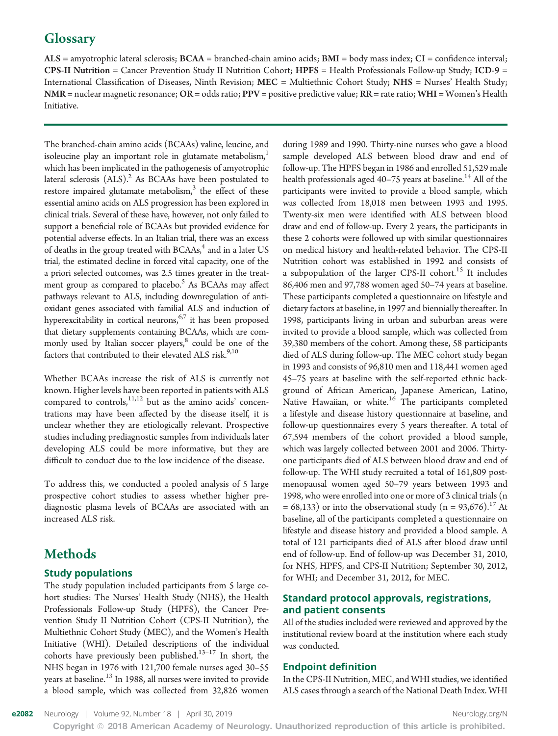# **Glossary**

 $ALS$  = amyotrophic lateral sclerosis;  $BCAA$  = branched-chain amino acids;  $BMI$  = body mass index;  $CI$  = confidence interval; CPS-II Nutrition = Cancer Prevention Study II Nutrition Cohort; HPFS = Health Professionals Follow-up Study; ICD-9 = International Classification of Diseases, Ninth Revision; MEC = Multiethnic Cohort Study; NHS = Nurses' Health Study; NMR = nuclear magnetic resonance; OR = odds ratio;  $PPV$  = positive predictive value; RR = rate ratio; WHI = Women's Health Initiative.

The branched-chain amino acids (BCAAs) valine, leucine, and isoleucine play an important role in glutamate metabolism,<sup>1</sup> which has been implicated in the pathogenesis of amyotrophic lateral sclerosis  $(ALS).<sup>2</sup>$  As BCAAs have been postulated to restore impaired glutamate metabolism, $3$  the effect of these essential amino acids on ALS progression has been explored in clinical trials. Several of these have, however, not only failed to support a beneficial role of BCAAs but provided evidence for potential adverse effects. In an Italian trial, there was an excess of deaths in the group treated with  $BCAAs<sub>i</sub><sup>4</sup>$  and in a later US trial, the estimated decline in forced vital capacity, one of the a priori selected outcomes, was 2.5 times greater in the treatment group as compared to placebo.<sup>5</sup> As BCAAs may affect pathways relevant to ALS, including downregulation of antioxidant genes associated with familial ALS and induction of hyperexcitability in cortical neurons,<sup>6,7</sup> it has been proposed that dietary supplements containing BCAAs, which are commonly used by Italian soccer players,<sup>8</sup> could be one of the factors that contributed to their elevated ALS risk. $^{9,10}$ 

Whether BCAAs increase the risk of ALS is currently not known. Higher levels have been reported in patients with ALS compared to controls, $11,12$  but as the amino acids' concentrations may have been affected by the disease itself, it is unclear whether they are etiologically relevant. Prospective studies including prediagnostic samples from individuals later developing ALS could be more informative, but they are difficult to conduct due to the low incidence of the disease.

To address this, we conducted a pooled analysis of 5 large prospective cohort studies to assess whether higher prediagnostic plasma levels of BCAAs are associated with an increased ALS risk.

# Methods

# Study populations

The study population included participants from 5 large cohort studies: The Nurses' Health Study (NHS), the Health Professionals Follow-up Study (HPFS), the Cancer Prevention Study II Nutrition Cohort (CPS-II Nutrition), the Multiethnic Cohort Study (MEC), and the Women's Health Initiative (WHI). Detailed descriptions of the individual cohorts have previously been published.<sup>13–17</sup> In short, the NHS began in 1976 with 121,700 female nurses aged 30–55 years at baseline.<sup>13</sup> In 1988, all nurses were invited to provide a blood sample, which was collected from 32,826 women

during 1989 and 1990. Thirty-nine nurses who gave a blood sample developed ALS between blood draw and end of follow-up. The HPFS began in 1986 and enrolled 51,529 male health professionals aged  $40-75$  years at baseline.<sup>14</sup> All of the participants were invited to provide a blood sample, which was collected from 18,018 men between 1993 and 1995. Twenty-six men were identified with ALS between blood draw and end of follow-up. Every 2 years, the participants in these 2 cohorts were followed up with similar questionnaires on medical history and health-related behavior. The CPS-II Nutrition cohort was established in 1992 and consists of a subpopulation of the larger CPS-II cohort.<sup>15</sup> It includes 86,406 men and 97,788 women aged 50–74 years at baseline. These participants completed a questionnaire on lifestyle and dietary factors at baseline, in 1997 and biennially thereafter. In 1998, participants living in urban and suburban areas were invited to provide a blood sample, which was collected from 39,380 members of the cohort. Among these, 58 participants died of ALS during follow-up. The MEC cohort study began in 1993 and consists of 96,810 men and 118,441 women aged 45–75 years at baseline with the self-reported ethnic background of African American, Japanese American, Latino, Native Hawaiian, or white.<sup>16</sup> The participants completed a lifestyle and disease history questionnaire at baseline, and follow-up questionnaires every 5 years thereafter. A total of 67,594 members of the cohort provided a blood sample, which was largely collected between 2001 and 2006. Thirtyone participants died of ALS between blood draw and end of follow-up. The WHI study recruited a total of 161,809 postmenopausal women aged 50–79 years between 1993 and 1998, who were enrolled into one or more of 3 clinical trials (n = 68,133) or into the observational study ( $n = 93,676$ ).<sup>17</sup> At baseline, all of the participants completed a questionnaire on lifestyle and disease history and provided a blood sample. A total of 121 participants died of ALS after blood draw until end of follow-up. End of follow-up was December 31, 2010, for NHS, HPFS, and CPS-II Nutrition; September 30, 2012, for WHI; and December 31, 2012, for MEC.

# Standard protocol approvals, registrations, and patient consents

All of the studies included were reviewed and approved by the institutional review board at the institution where each study was conducted.

#### Endpoint definition

In the CPS-II Nutrition, MEC, and WHI studies, we identified ALS cases through a search of the National Death Index. WHI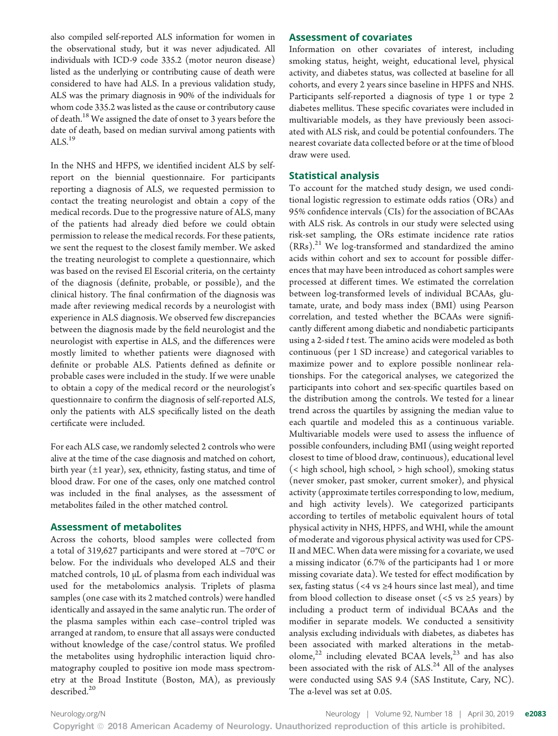also compiled self-reported ALS information for women in the observational study, but it was never adjudicated. All individuals with ICD-9 code 335.2 (motor neuron disease) listed as the underlying or contributing cause of death were considered to have had ALS. In a previous validation study, ALS was the primary diagnosis in 90% of the individuals for whom code 335.2 was listed as the cause or contributory cause of death.<sup>18</sup> We assigned the date of onset to 3 years before the date of death, based on median survival among patients with  $ALS.<sup>19</sup>$ 

In the NHS and HFPS, we identified incident ALS by selfreport on the biennial questionnaire. For participants reporting a diagnosis of ALS, we requested permission to contact the treating neurologist and obtain a copy of the medical records. Due to the progressive nature of ALS, many of the patients had already died before we could obtain permission to release the medical records. For these patients, we sent the request to the closest family member. We asked the treating neurologist to complete a questionnaire, which was based on the revised El Escorial criteria, on the certainty of the diagnosis (definite, probable, or possible), and the clinical history. The final confirmation of the diagnosis was made after reviewing medical records by a neurologist with experience in ALS diagnosis. We observed few discrepancies between the diagnosis made by the field neurologist and the neurologist with expertise in ALS, and the differences were mostly limited to whether patients were diagnosed with definite or probable ALS. Patients defined as definite or probable cases were included in the study. If we were unable to obtain a copy of the medical record or the neurologist's questionnaire to confirm the diagnosis of self-reported ALS, only the patients with ALS specifically listed on the death certificate were included.

For each ALS case, we randomly selected 2 controls who were alive at the time of the case diagnosis and matched on cohort, birth year  $(\pm 1 \text{ year})$ , sex, ethnicity, fasting status, and time of blood draw. For one of the cases, only one matched control was included in the final analyses, as the assessment of metabolites failed in the other matched control.

#### Assessment of metabolites

Across the cohorts, blood samples were collected from a total of 319,627 participants and were stored at −70°C or below. For the individuals who developed ALS and their matched controls, 10 μL of plasma from each individual was used for the metabolomics analysis. Triplets of plasma samples (one case with its 2 matched controls) were handled identically and assayed in the same analytic run. The order of the plasma samples within each case–control tripled was arranged at random, to ensure that all assays were conducted without knowledge of the case/control status. We profiled the metabolites using hydrophilic interaction liquid chromatography coupled to positive ion mode mass spectrometry at the Broad Institute (Boston, MA), as previously described.<sup>20</sup>

#### Assessment of covariates

Information on other covariates of interest, including smoking status, height, weight, educational level, physical activity, and diabetes status, was collected at baseline for all cohorts, and every 2 years since baseline in HPFS and NHS. Participants self-reported a diagnosis of type 1 or type 2 diabetes mellitus. These specific covariates were included in multivariable models, as they have previously been associated with ALS risk, and could be potential confounders. The nearest covariate data collected before or at the time of blood draw were used.

#### Statistical analysis

To account for the matched study design, we used conditional logistic regression to estimate odds ratios (ORs) and 95% confidence intervals (CIs) for the association of BCAAs with ALS risk. As controls in our study were selected using risk-set sampling, the ORs estimate incidence rate ratios  $(RRs).<sup>21</sup>$  We log-transformed and standardized the amino acids within cohort and sex to account for possible differences that may have been introduced as cohort samples were processed at different times. We estimated the correlation between log-transformed levels of individual BCAAs, glutamate, urate, and body mass index (BMI) using Pearson correlation, and tested whether the BCAAs were significantly different among diabetic and nondiabetic participants using a 2-sided t test. The amino acids were modeled as both continuous (per 1 SD increase) and categorical variables to maximize power and to explore possible nonlinear relationships. For the categorical analyses, we categorized the participants into cohort and sex-specific quartiles based on the distribution among the controls. We tested for a linear trend across the quartiles by assigning the median value to each quartile and modeled this as a continuous variable. Multivariable models were used to assess the influence of possible confounders, including BMI (using weight reported closest to time of blood draw, continuous), educational level (< high school, high school, > high school), smoking status (never smoker, past smoker, current smoker), and physical activity (approximate tertiles corresponding to low, medium, and high activity levels). We categorized participants according to tertiles of metabolic equivalent hours of total physical activity in NHS, HPFS, and WHI, while the amount of moderate and vigorous physical activity was used for CPS-II and MEC. When data were missing for a covariate, we used a missing indicator (6.7% of the participants had 1 or more missing covariate data). We tested for effect modification by sex, fasting status (<4 vs  $\geq$ 4 hours since last meal), and time from blood collection to disease onset ( $\lt$  5 vs  $\ge$  5 years) by including a product term of individual BCAAs and the modifier in separate models. We conducted a sensitivity analysis excluding individuals with diabetes, as diabetes has been associated with marked alterations in the metabolome, $2^2$  including elevated BCAA levels, $2^3$  and has also been associated with the risk of  $ALS.<sup>24</sup>$  All of the analyses were conducted using SAS 9.4 (SAS Institute, Cary, NC). The α-level was set at 0.05.

[Neurology.org/N](http://neurology.org/n) **Neurology | Volume 92, Number 18 | April 30, 2019 e2083**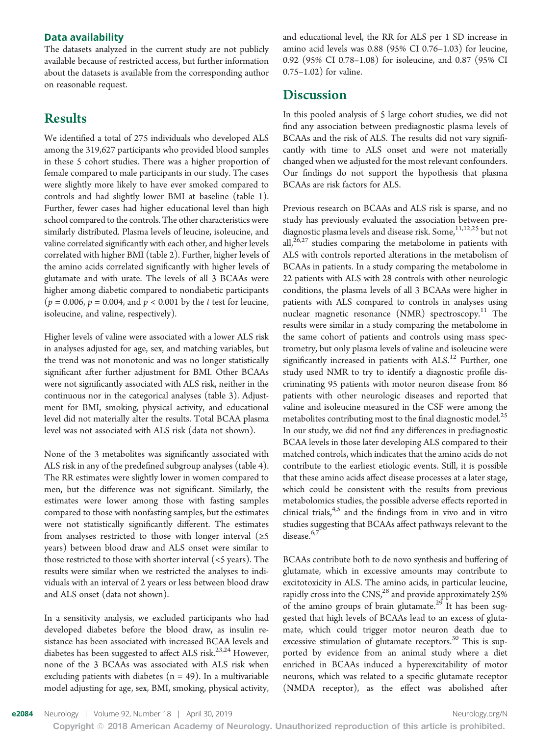#### Data availability

The datasets analyzed in the current study are not publicly available because of restricted access, but further information about the datasets is available from the corresponding author on reasonable request.

# Results

We identified a total of 275 individuals who developed ALS among the 319,627 participants who provided blood samples in these 5 cohort studies. There was a higher proportion of female compared to male participants in our study. The cases were slightly more likely to have ever smoked compared to controls and had slightly lower BMI at baseline (table 1). Further, fewer cases had higher educational level than high school compared to the controls. The other characteristics were similarly distributed. Plasma levels of leucine, isoleucine, and valine correlated significantly with each other, and higher levels correlated with higher BMI (table 2). Further, higher levels of the amino acids correlated significantly with higher levels of glutamate and with urate. The levels of all 3 BCAAs were higher among diabetic compared to nondiabetic participants  $(p = 0.006, p = 0.004, \text{ and } p < 0.001 \text{ by the } t \text{ test for leucine, }$ isoleucine, and valine, respectively).

Higher levels of valine were associated with a lower ALS risk in analyses adjusted for age, sex, and matching variables, but the trend was not monotonic and was no longer statistically significant after further adjustment for BMI. Other BCAAs were not significantly associated with ALS risk, neither in the continuous nor in the categorical analyses (table 3). Adjustment for BMI, smoking, physical activity, and educational level did not materially alter the results. Total BCAA plasma level was not associated with ALS risk (data not shown).

None of the 3 metabolites was significantly associated with ALS risk in any of the predefined subgroup analyses (table 4). The RR estimates were slightly lower in women compared to men, but the difference was not significant. Similarly, the estimates were lower among those with fasting samples compared to those with nonfasting samples, but the estimates were not statistically significantly different. The estimates from analyses restricted to those with longer interval ( $\geq$ 5 years) between blood draw and ALS onset were similar to those restricted to those with shorter interval (<5 years). The results were similar when we restricted the analyses to individuals with an interval of 2 years or less between blood draw and ALS onset (data not shown).

In a sensitivity analysis, we excluded participants who had developed diabetes before the blood draw, as insulin resistance has been associated with increased BCAA levels and diabetes has been suggested to affect ALS risk.<sup>23,24</sup> However, none of the 3 BCAAs was associated with ALS risk when excluding patients with diabetes  $(n = 49)$ . In a multivariable model adjusting for age, sex, BMI, smoking, physical activity, and educational level, the RR for ALS per 1 SD increase in amino acid levels was 0.88 (95% CI 0.76–1.03) for leucine, 0.92 (95% CI 0.78–1.08) for isoleucine, and 0.87 (95% CI 0.75–1.02) for valine.

# **Discussion**

In this pooled analysis of 5 large cohort studies, we did not find any association between prediagnostic plasma levels of BCAAs and the risk of ALS. The results did not vary significantly with time to ALS onset and were not materially changed when we adjusted for the most relevant confounders. Our findings do not support the hypothesis that plasma BCAAs are risk factors for ALS.

Previous research on BCAAs and ALS risk is sparse, and no study has previously evaluated the association between prediagnostic plasma levels and disease risk. Some,  $11,12,25$  but not all, $26,27$  studies comparing the metabolome in patients with ALS with controls reported alterations in the metabolism of BCAAs in patients. In a study comparing the metabolome in 22 patients with ALS with 28 controls with other neurologic conditions, the plasma levels of all 3 BCAAs were higher in patients with ALS compared to controls in analyses using nuclear magnetic resonance  $(NMR)$  spectroscopy.<sup>11</sup> The results were similar in a study comparing the metabolome in the same cohort of patients and controls using mass spectrometry, but only plasma levels of valine and isoleucine were significantly increased in patients with ALS.<sup>12</sup> Further, one study used NMR to try to identify a diagnostic profile discriminating 95 patients with motor neuron disease from 86 patients with other neurologic diseases and reported that valine and isoleucine measured in the CSF were among the metabolites contributing most to the final diagnostic model.<sup>25</sup> In our study, we did not find any differences in prediagnostic BCAA levels in those later developing ALS compared to their matched controls, which indicates that the amino acids do not contribute to the earliest etiologic events. Still, it is possible that these amino acids affect disease processes at a later stage, which could be consistent with the results from previous metabolomics studies, the possible adverse effects reported in clinical trials,<sup>4,5</sup> and the findings from in vivo and in vitro studies suggesting that BCAAs affect pathways relevant to the disease.<sup>6,7</sup>

BCAAs contribute both to de novo synthesis and buffering of glutamate, which in excessive amounts may contribute to excitotoxicity in ALS. The amino acids, in particular leucine, rapidly cross into the CNS,<sup>28</sup> and provide approximately 25% of the amino groups of brain glutamate.<sup>29</sup> It has been suggested that high levels of BCAAs lead to an excess of glutamate, which could trigger motor neuron death due to excessive stimulation of glutamate receptors.<sup>30</sup> This is supported by evidence from an animal study where a diet enriched in BCAAs induced a hyperexcitability of motor neurons, which was related to a specific glutamate receptor (NMDA receptor), as the effect was abolished after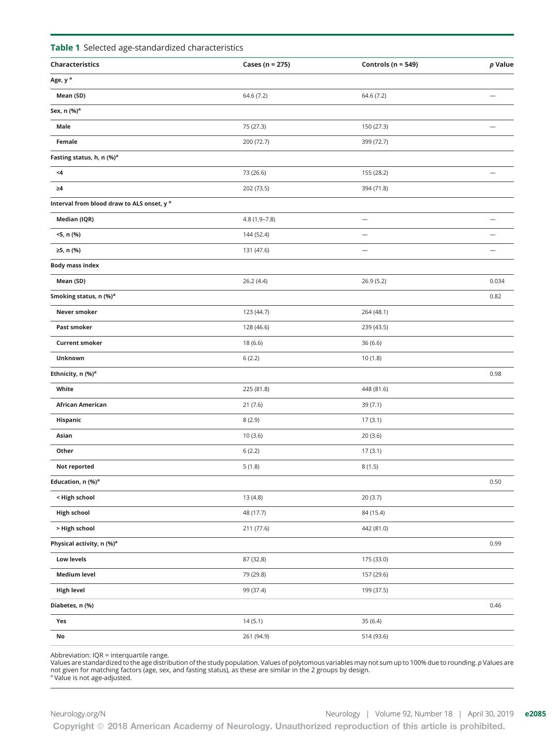|  |  | Table 1 Selected age-standardized characteristics |  |
|--|--|---------------------------------------------------|--|
|--|--|---------------------------------------------------|--|

| Age, y <sup>a</sup><br>64.6 (7.2)<br>Mean (SD)<br>64.6 (7.2)<br>$\overline{\phantom{0}}$<br>Sex, n (%) <sup>a</sup><br>Male<br>75 (27.3)<br>150 (27.3)<br>Female<br>200 (72.7)<br>399 (72.7)<br>Fasting status, h, n (%) <sup>a</sup><br>$\leq 4$<br>73 (26.6)<br>155 (28.2)<br>$\overline{\phantom{0}}$<br>$\geq 4$<br>202 (73.5)<br>394 (71.8)<br>Interval from blood draw to ALS onset, y a<br>Median (IQR)<br>4.8 (1.9-7.8)<br>$\qquad \qquad -$<br>$\overline{\phantom{0}}$<br><5, n (%)<br>144 (52.4)<br>≥5, n (%)<br>131 (47.6)<br><b>Body mass index</b><br>26.2 (4.4)<br>26.9(5.2)<br>0.034<br>Mean (SD)<br>Smoking status, n (%) <sup>a</sup><br>0.82<br>Never smoker<br>123 (44.7)<br>264 (48.1)<br>Past smoker<br>128 (46.6)<br>239 (43.5)<br><b>Current smoker</b><br>18 (6.6)<br>36 (6.6)<br>Unknown<br>6(2.2)<br>10 (1.8)<br>Ethnicity, n (%) <sup>a</sup><br>0.98<br>White<br>225 (81.8)<br>448 (81.6)<br>African American<br>21(7.6)<br>39 (7.1)<br>Hispanic<br>8(2.9)<br>17(3.1)<br>20(3.6)<br>Asian<br>10(3.6)<br>Other<br>6(2.2)<br>17(3.1)<br>Not reported<br>5(1.8)<br>8(1.5)<br>Education, n (%) <sup>a</sup><br>0.50<br>< High school<br>13 (4.8)<br>20(3.7)<br><b>High school</b><br>48 (17.7)<br>84 (15.4)<br>> High school<br>211 (77.6)<br>442 (81.0)<br>Physical activity, n (%) <sup>a</sup><br>0.99<br>Low levels<br>87 (32.8)<br>175 (33.0)<br><b>Medium level</b><br>79 (29.8)<br>157 (29.6)<br><b>High level</b><br>99 (37.4)<br>199 (37.5)<br>Diabetes, n (%)<br>0.46<br>Yes<br>14(5.1)<br>35 (6.4)<br>No<br>261 (94.9)<br>514 (93.6) | Characteristics | Cases (n = 275) | Controls ( $n = 549$ ) | $p$ Value |
|--------------------------------------------------------------------------------------------------------------------------------------------------------------------------------------------------------------------------------------------------------------------------------------------------------------------------------------------------------------------------------------------------------------------------------------------------------------------------------------------------------------------------------------------------------------------------------------------------------------------------------------------------------------------------------------------------------------------------------------------------------------------------------------------------------------------------------------------------------------------------------------------------------------------------------------------------------------------------------------------------------------------------------------------------------------------------------------------------------------------------------------------------------------------------------------------------------------------------------------------------------------------------------------------------------------------------------------------------------------------------------------------------------------------------------------------------------------------------------------------------------------------------------------------------------------------------|-----------------|-----------------|------------------------|-----------|
|                                                                                                                                                                                                                                                                                                                                                                                                                                                                                                                                                                                                                                                                                                                                                                                                                                                                                                                                                                                                                                                                                                                                                                                                                                                                                                                                                                                                                                                                                                                                                                          |                 |                 |                        |           |
|                                                                                                                                                                                                                                                                                                                                                                                                                                                                                                                                                                                                                                                                                                                                                                                                                                                                                                                                                                                                                                                                                                                                                                                                                                                                                                                                                                                                                                                                                                                                                                          |                 |                 |                        |           |
|                                                                                                                                                                                                                                                                                                                                                                                                                                                                                                                                                                                                                                                                                                                                                                                                                                                                                                                                                                                                                                                                                                                                                                                                                                                                                                                                                                                                                                                                                                                                                                          |                 |                 |                        |           |
|                                                                                                                                                                                                                                                                                                                                                                                                                                                                                                                                                                                                                                                                                                                                                                                                                                                                                                                                                                                                                                                                                                                                                                                                                                                                                                                                                                                                                                                                                                                                                                          |                 |                 |                        |           |
|                                                                                                                                                                                                                                                                                                                                                                                                                                                                                                                                                                                                                                                                                                                                                                                                                                                                                                                                                                                                                                                                                                                                                                                                                                                                                                                                                                                                                                                                                                                                                                          |                 |                 |                        |           |
|                                                                                                                                                                                                                                                                                                                                                                                                                                                                                                                                                                                                                                                                                                                                                                                                                                                                                                                                                                                                                                                                                                                                                                                                                                                                                                                                                                                                                                                                                                                                                                          |                 |                 |                        |           |
|                                                                                                                                                                                                                                                                                                                                                                                                                                                                                                                                                                                                                                                                                                                                                                                                                                                                                                                                                                                                                                                                                                                                                                                                                                                                                                                                                                                                                                                                                                                                                                          |                 |                 |                        |           |
|                                                                                                                                                                                                                                                                                                                                                                                                                                                                                                                                                                                                                                                                                                                                                                                                                                                                                                                                                                                                                                                                                                                                                                                                                                                                                                                                                                                                                                                                                                                                                                          |                 |                 |                        |           |
|                                                                                                                                                                                                                                                                                                                                                                                                                                                                                                                                                                                                                                                                                                                                                                                                                                                                                                                                                                                                                                                                                                                                                                                                                                                                                                                                                                                                                                                                                                                                                                          |                 |                 |                        |           |
|                                                                                                                                                                                                                                                                                                                                                                                                                                                                                                                                                                                                                                                                                                                                                                                                                                                                                                                                                                                                                                                                                                                                                                                                                                                                                                                                                                                                                                                                                                                                                                          |                 |                 |                        |           |
|                                                                                                                                                                                                                                                                                                                                                                                                                                                                                                                                                                                                                                                                                                                                                                                                                                                                                                                                                                                                                                                                                                                                                                                                                                                                                                                                                                                                                                                                                                                                                                          |                 |                 |                        |           |
|                                                                                                                                                                                                                                                                                                                                                                                                                                                                                                                                                                                                                                                                                                                                                                                                                                                                                                                                                                                                                                                                                                                                                                                                                                                                                                                                                                                                                                                                                                                                                                          |                 |                 |                        |           |
|                                                                                                                                                                                                                                                                                                                                                                                                                                                                                                                                                                                                                                                                                                                                                                                                                                                                                                                                                                                                                                                                                                                                                                                                                                                                                                                                                                                                                                                                                                                                                                          |                 |                 |                        |           |
|                                                                                                                                                                                                                                                                                                                                                                                                                                                                                                                                                                                                                                                                                                                                                                                                                                                                                                                                                                                                                                                                                                                                                                                                                                                                                                                                                                                                                                                                                                                                                                          |                 |                 |                        |           |
|                                                                                                                                                                                                                                                                                                                                                                                                                                                                                                                                                                                                                                                                                                                                                                                                                                                                                                                                                                                                                                                                                                                                                                                                                                                                                                                                                                                                                                                                                                                                                                          |                 |                 |                        |           |
|                                                                                                                                                                                                                                                                                                                                                                                                                                                                                                                                                                                                                                                                                                                                                                                                                                                                                                                                                                                                                                                                                                                                                                                                                                                                                                                                                                                                                                                                                                                                                                          |                 |                 |                        |           |
|                                                                                                                                                                                                                                                                                                                                                                                                                                                                                                                                                                                                                                                                                                                                                                                                                                                                                                                                                                                                                                                                                                                                                                                                                                                                                                                                                                                                                                                                                                                                                                          |                 |                 |                        |           |
|                                                                                                                                                                                                                                                                                                                                                                                                                                                                                                                                                                                                                                                                                                                                                                                                                                                                                                                                                                                                                                                                                                                                                                                                                                                                                                                                                                                                                                                                                                                                                                          |                 |                 |                        |           |
|                                                                                                                                                                                                                                                                                                                                                                                                                                                                                                                                                                                                                                                                                                                                                                                                                                                                                                                                                                                                                                                                                                                                                                                                                                                                                                                                                                                                                                                                                                                                                                          |                 |                 |                        |           |
|                                                                                                                                                                                                                                                                                                                                                                                                                                                                                                                                                                                                                                                                                                                                                                                                                                                                                                                                                                                                                                                                                                                                                                                                                                                                                                                                                                                                                                                                                                                                                                          |                 |                 |                        |           |
|                                                                                                                                                                                                                                                                                                                                                                                                                                                                                                                                                                                                                                                                                                                                                                                                                                                                                                                                                                                                                                                                                                                                                                                                                                                                                                                                                                                                                                                                                                                                                                          |                 |                 |                        |           |
|                                                                                                                                                                                                                                                                                                                                                                                                                                                                                                                                                                                                                                                                                                                                                                                                                                                                                                                                                                                                                                                                                                                                                                                                                                                                                                                                                                                                                                                                                                                                                                          |                 |                 |                        |           |
|                                                                                                                                                                                                                                                                                                                                                                                                                                                                                                                                                                                                                                                                                                                                                                                                                                                                                                                                                                                                                                                                                                                                                                                                                                                                                                                                                                                                                                                                                                                                                                          |                 |                 |                        |           |
|                                                                                                                                                                                                                                                                                                                                                                                                                                                                                                                                                                                                                                                                                                                                                                                                                                                                                                                                                                                                                                                                                                                                                                                                                                                                                                                                                                                                                                                                                                                                                                          |                 |                 |                        |           |
|                                                                                                                                                                                                                                                                                                                                                                                                                                                                                                                                                                                                                                                                                                                                                                                                                                                                                                                                                                                                                                                                                                                                                                                                                                                                                                                                                                                                                                                                                                                                                                          |                 |                 |                        |           |
|                                                                                                                                                                                                                                                                                                                                                                                                                                                                                                                                                                                                                                                                                                                                                                                                                                                                                                                                                                                                                                                                                                                                                                                                                                                                                                                                                                                                                                                                                                                                                                          |                 |                 |                        |           |
|                                                                                                                                                                                                                                                                                                                                                                                                                                                                                                                                                                                                                                                                                                                                                                                                                                                                                                                                                                                                                                                                                                                                                                                                                                                                                                                                                                                                                                                                                                                                                                          |                 |                 |                        |           |
|                                                                                                                                                                                                                                                                                                                                                                                                                                                                                                                                                                                                                                                                                                                                                                                                                                                                                                                                                                                                                                                                                                                                                                                                                                                                                                                                                                                                                                                                                                                                                                          |                 |                 |                        |           |
|                                                                                                                                                                                                                                                                                                                                                                                                                                                                                                                                                                                                                                                                                                                                                                                                                                                                                                                                                                                                                                                                                                                                                                                                                                                                                                                                                                                                                                                                                                                                                                          |                 |                 |                        |           |
|                                                                                                                                                                                                                                                                                                                                                                                                                                                                                                                                                                                                                                                                                                                                                                                                                                                                                                                                                                                                                                                                                                                                                                                                                                                                                                                                                                                                                                                                                                                                                                          |                 |                 |                        |           |
|                                                                                                                                                                                                                                                                                                                                                                                                                                                                                                                                                                                                                                                                                                                                                                                                                                                                                                                                                                                                                                                                                                                                                                                                                                                                                                                                                                                                                                                                                                                                                                          |                 |                 |                        |           |
|                                                                                                                                                                                                                                                                                                                                                                                                                                                                                                                                                                                                                                                                                                                                                                                                                                                                                                                                                                                                                                                                                                                                                                                                                                                                                                                                                                                                                                                                                                                                                                          |                 |                 |                        |           |
|                                                                                                                                                                                                                                                                                                                                                                                                                                                                                                                                                                                                                                                                                                                                                                                                                                                                                                                                                                                                                                                                                                                                                                                                                                                                                                                                                                                                                                                                                                                                                                          |                 |                 |                        |           |
|                                                                                                                                                                                                                                                                                                                                                                                                                                                                                                                                                                                                                                                                                                                                                                                                                                                                                                                                                                                                                                                                                                                                                                                                                                                                                                                                                                                                                                                                                                                                                                          |                 |                 |                        |           |
|                                                                                                                                                                                                                                                                                                                                                                                                                                                                                                                                                                                                                                                                                                                                                                                                                                                                                                                                                                                                                                                                                                                                                                                                                                                                                                                                                                                                                                                                                                                                                                          |                 |                 |                        |           |
|                                                                                                                                                                                                                                                                                                                                                                                                                                                                                                                                                                                                                                                                                                                                                                                                                                                                                                                                                                                                                                                                                                                                                                                                                                                                                                                                                                                                                                                                                                                                                                          |                 |                 |                        |           |
|                                                                                                                                                                                                                                                                                                                                                                                                                                                                                                                                                                                                                                                                                                                                                                                                                                                                                                                                                                                                                                                                                                                                                                                                                                                                                                                                                                                                                                                                                                                                                                          |                 |                 |                        |           |
|                                                                                                                                                                                                                                                                                                                                                                                                                                                                                                                                                                                                                                                                                                                                                                                                                                                                                                                                                                                                                                                                                                                                                                                                                                                                                                                                                                                                                                                                                                                                                                          |                 |                 |                        |           |

Abbreviation: IQR = interquartile range.<br>Values are standardized to the age distribution of the study population. Values of polytomous variables may not sum up to 100% due to rounding. *p* Values are not given for matching factors (age, sex, and fasting status), as these are similar in the 2 groups by design. <sup>a</sup> Value is not age-adjusted.

[Neurology.org/N](http://neurology.org/n) Neurology | Volume 92, Number 18 | April 30, 2019 **e2085** Copyright © 2018 American Academy of Neurology. Unauthorized reproduction of this article is prohibited.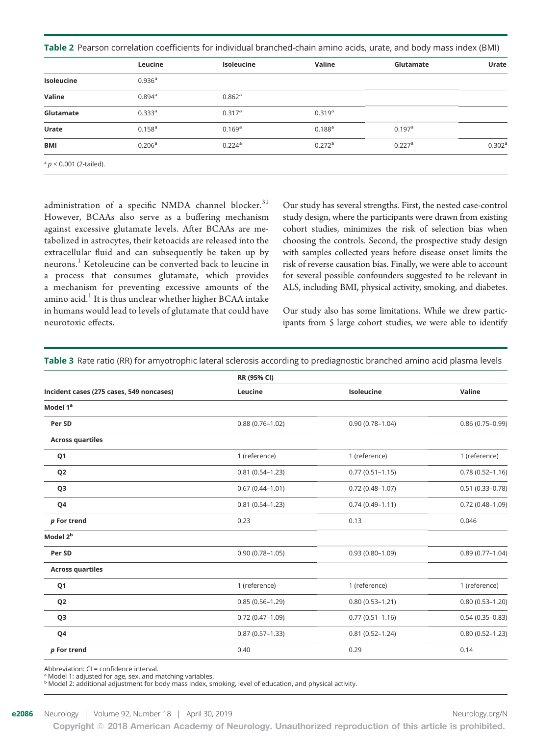Table 2 Pearson correlation coefficients for individual branched-chain amino acids, urate, and body mass index (BMI)

|                           | Leucine            | <b>Isoleucine</b>    | Valine               | Glutamate            | Urate              |
|---------------------------|--------------------|----------------------|----------------------|----------------------|--------------------|
| Isoleucine                | 0.936 <sup>a</sup> |                      |                      |                      |                    |
| Valine                    | $0.894^{\text{a}}$ | $0.862$ <sup>a</sup> |                      |                      |                    |
| Glutamate                 | 0.333a             | $0.317$ <sup>a</sup> | 0.319a               |                      |                    |
| Urate                     | $0.158^{a}$        | 0.169a               | $0.188^{a}$          | 0.197a               |                    |
| <b>BMI</b>                | 0.206 <sup>a</sup> | $0.224$ <sup>a</sup> | $0.272$ <sup>a</sup> | $0.227$ <sup>a</sup> | 0.302 <sup>a</sup> |
| $a$ p < 0.001 (2-tailed). |                    |                      |                      |                      |                    |

administration of a specific NMDA channel blocker.<sup>31</sup> However, BCAAs also serve as a buffering mechanism against excessive glutamate levels. After BCAAs are metabolized in astrocytes, their ketoacids are released into the extracellular fluid and can subsequently be taken up by neurons.<sup>1</sup> Ketoleucine can be converted back to leucine in a process that consumes glutamate, which provides a mechanism for preventing excessive amounts of the amino acid. $^{1}$  It is thus unclear whether higher BCAA intake in humans would lead to levels of glutamate that could have neurotoxic effects.

Our study has several strengths. First, the nested case-control study design, where the participants were drawn from existing cohort studies, minimizes the risk of selection bias when choosing the controls. Second, the prospective study design with samples collected years before disease onset limits the risk of reverse causation bias. Finally, we were able to account for several possible confounders suggested to be relevant in ALS, including BMI, physical activity, smoking, and diabetes.

Our study also has some limitations. While we drew participants from 5 large cohort studies, we were able to identify

| RR (95% CI)         |                     | Valine              |
|---------------------|---------------------|---------------------|
| Leucine             | Isoleucine          |                     |
|                     |                     |                     |
| $0.88(0.76 - 1.02)$ | $0.90(0.78 - 1.04)$ | $0.86(0.75-0.99)$   |
|                     |                     |                     |
| 1 (reference)       | 1 (reference)       | 1 (reference)       |
| $0.81(0.54 - 1.23)$ | $0.77(0.51 - 1.15)$ | $0.78(0.52 - 1.16)$ |
| $0.67(0.44 - 1.01)$ | $0.72(0.48 - 1.07)$ | $0.51(0.33 - 0.78)$ |
| $0.81(0.54 - 1.23)$ | $0.74(0.49 - 1.11)$ | $0.72(0.48 - 1.09)$ |
| 0.23                | 0.13                | 0.046               |
|                     |                     |                     |
| $0.90(0.78 - 1.05)$ | $0.93(0.80 - 1.09)$ | $0.89(0.77 - 1.04)$ |
|                     |                     |                     |
| 1 (reference)       | 1 (reference)       | 1 (reference)       |
| $0.85(0.56 - 1.29)$ | $0.80(0.53 - 1.21)$ | $0.80(0.53 - 1.20)$ |
| $0.72(0.47 - 1.09)$ | $0.77(0.51 - 1.16)$ | $0.54(0.35 - 0.83)$ |
| $0.87(0.57 - 1.33)$ | $0.81(0.52 - 1.24)$ | $0.80(0.52 - 1.23)$ |
| 0.40                | 0.29                | 0.14                |
|                     |                     |                     |

Table 3 Rate ratio (RR) for amyotrophic lateral sclerosis according to prediagnostic branched amino acid plasma levels

Abbreviation: CI = confidence interval.

<sup>a</sup> Model 1: adjusted for age, sex, and matching variables.

**b Model 2: additional adjustment for body mass index, smoking, level of education, and physical activity.**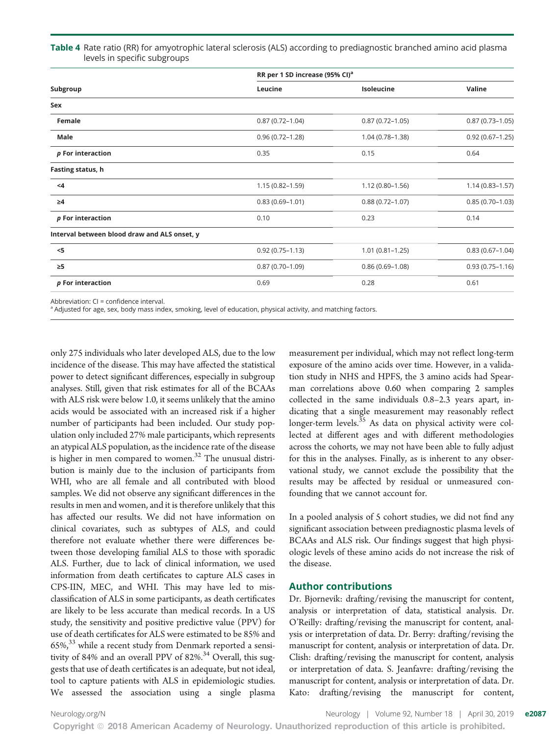#### Table 4 Rate ratio (RR) for amyotrophic lateral sclerosis (ALS) according to prediagnostic branched amino acid plasma levels in specific subgroups

| RR per 1 SD increase (95% CI) <sup>a</sup> |                     |                     |
|--------------------------------------------|---------------------|---------------------|
| Leucine                                    | Isoleucine          | Valine              |
|                                            |                     |                     |
| $0.87(0.72 - 1.04)$                        | $0.87(0.72 - 1.05)$ | $0.87(0.73 - 1.05)$ |
| $0.96(0.72 - 1.28)$                        | $1.04(0.78 - 1.38)$ | $0.92(0.67 - 1.25)$ |
| 0.35                                       | 0.15                | 0.64                |
|                                            |                     |                     |
| $1.15(0.82 - 1.59)$                        | $1.12(0.80 - 1.56)$ | $1.14(0.83 - 1.57)$ |
| $0.83(0.69 - 1.01)$                        | $0.88(0.72 - 1.07)$ | $0.85(0.70-1.03)$   |
| 0.10                                       | 0.23                | 0.14                |
|                                            |                     |                     |
| $0.92(0.75 - 1.13)$                        | $1.01(0.81 - 1.25)$ | $0.83(0.67 - 1.04)$ |
| $0.87(0.70 - 1.09)$                        | $0.86(0.69 - 1.08)$ | $0.93(0.75 - 1.16)$ |
| 0.69                                       | 0.28                | 0.61                |
|                                            |                     |                     |

Abbreviation: CI = confidence interval.

a Adjusted for age, sex, body mass index, smoking, level of education, physical activity, and matching factors.

only 275 individuals who later developed ALS, due to the low incidence of the disease. This may have affected the statistical power to detect significant differences, especially in subgroup analyses. Still, given that risk estimates for all of the BCAAs with ALS risk were below 1.0, it seems unlikely that the amino acids would be associated with an increased risk if a higher number of participants had been included. Our study population only included 27% male participants, which represents an atypical ALS population, as the incidence rate of the disease is higher in men compared to women.<sup>32</sup> The unusual distribution is mainly due to the inclusion of participants from WHI, who are all female and all contributed with blood samples. We did not observe any significant differences in the results in men and women, and it is therefore unlikely that this has affected our results. We did not have information on clinical covariates, such as subtypes of ALS, and could therefore not evaluate whether there were differences between those developing familial ALS to those with sporadic ALS. Further, due to lack of clinical information, we used information from death certificates to capture ALS cases in CPS-IIN, MEC, and WHI. This may have led to misclassification of ALS in some participants, as death certificates are likely to be less accurate than medical records. In a US study, the sensitivity and positive predictive value (PPV) for use of death certificates for ALS were estimated to be 85% and  $65\%$ <sup>33</sup> while a recent study from Denmark reported a sensitivity of 84% and an overall PPV of 82%.<sup>34</sup> Overall, this suggests that use of death certificates is an adequate, but not ideal, tool to capture patients with ALS in epidemiologic studies. We assessed the association using a single plasma

measurement per individual, which may not reflect long-term exposure of the amino acids over time. However, in a validation study in NHS and HPFS, the 3 amino acids had Spearman correlations above 0.60 when comparing 2 samples collected in the same individuals 0.8–2.3 years apart, indicating that a single measurement may reasonably reflect longer-term levels.<sup>35</sup> As data on physical activity were collected at different ages and with different methodologies across the cohorts, we may not have been able to fully adjust for this in the analyses. Finally, as is inherent to any observational study, we cannot exclude the possibility that the results may be affected by residual or unmeasured confounding that we cannot account for.

In a pooled analysis of 5 cohort studies, we did not find any significant association between prediagnostic plasma levels of BCAAs and ALS risk. Our findings suggest that high physiologic levels of these amino acids do not increase the risk of the disease.

#### Author contributions

Dr. Bjornevik: drafting/revising the manuscript for content, analysis or interpretation of data, statistical analysis. Dr. O'Reilly: drafting/revising the manuscript for content, analysis or interpretation of data. Dr. Berry: drafting/revising the manuscript for content, analysis or interpretation of data. Dr. Clish: drafting/revising the manuscript for content, analysis or interpretation of data. S. Jeanfavre: drafting/revising the manuscript for content, analysis or interpretation of data. Dr. Kato: drafting/revising the manuscript for content,

[Neurology.org/N](http://neurology.org/n) Neurology | Volume 92, Number 18 | April 30, 2019 **e2087**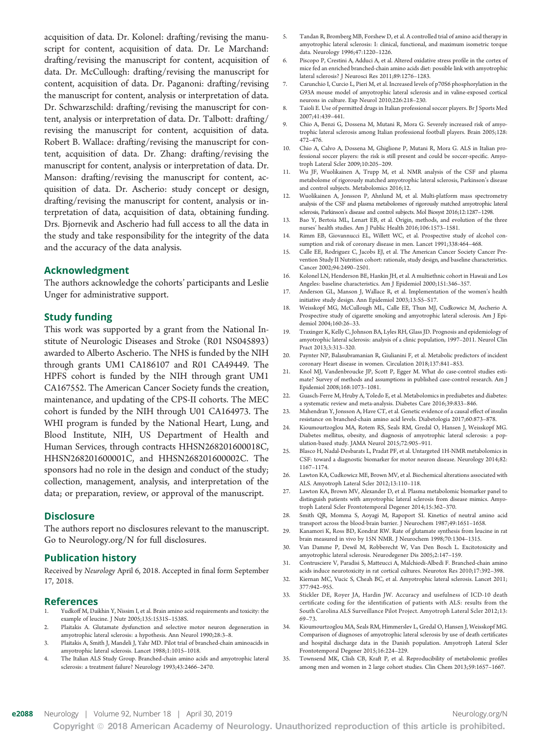acquisition of data. Dr. Kolonel: drafting/revising the manuscript for content, acquisition of data. Dr. Le Marchand: drafting/revising the manuscript for content, acquisition of data. Dr. McCullough: drafting/revising the manuscript for content, acquisition of data. Dr. Paganoni: drafting/revising the manuscript for content, analysis or interpretation of data. Dr. Schwarzschild: drafting/revising the manuscript for content, analysis or interpretation of data. Dr. Talbott: drafting/ revising the manuscript for content, acquisition of data. Robert B. Wallace: drafting/revising the manuscript for content, acquisition of data. Dr. Zhang: drafting/revising the manuscript for content, analysis or interpretation of data. Dr. Manson: drafting/revising the manuscript for content, acquisition of data. Dr. Ascherio: study concept or design, drafting/revising the manuscript for content, analysis or interpretation of data, acquisition of data, obtaining funding. Drs. Bjornevik and Ascherio had full access to all the data in the study and take responsibility for the integrity of the data and the accuracy of the data analysis.

#### Acknowledgment

The authors acknowledge the cohorts' participants and Leslie Unger for administrative support.

#### Study funding

This work was supported by a grant from the National Institute of Neurologic Diseases and Stroke (R01 NS045893) awarded to Alberto Ascherio. The NHS is funded by the NIH through grants UM1 CA186107 and R01 CA49449. The HPFS cohort is funded by the NIH through grant UM1 CA167552. The American Cancer Society funds the creation, maintenance, and updating of the CPS-II cohorts. The MEC cohort is funded by the NIH through U01 CA164973. The WHI program is funded by the National Heart, Lung, and Blood Institute, NIH, US Department of Health and Human Services, through contracts HHSN268201600018C, HHSN268201600001C, and HHSN268201600002C. The sponsors had no role in the design and conduct of the study; collection, management, analysis, and interpretation of the data; or preparation, review, or approval of the manuscript.

#### **Disclosure**

The authors report no disclosures relevant to the manuscript. Go to [Neurology.org/N](http://n.neurology.org/lookup/doi/10.1212/WNL.0000000000006669) for full disclosures.

#### Publication history

Received by Neurology April 6, 2018. Accepted in final form September 17, 2018.

#### References

- 1. Yudkoff M, Daikhin Y, Nissim I, et al. Brain amino acid requirements and toxicity: the example of leucine. J Nutr 2005;135:1531S–1538S.
- Plaitakis A. Glutamate dysfunction and selective motor neuron degeneration in amyotrophic lateral sclerosis: a hypothesis. Ann Neurol 1990;28:3–8.
- 3. Plaitakis A, Smith J, Mandeli J, Yahr MD. Pilot trial of branched-chain aminoacids in amyotrophic lateral sclerosis. Lancet 1988;1:1015–1018.
- 4. The Italian ALS Study Group. Branched-chain amino acids and amyotrophic lateral sclerosis: a treatment failure? Neurology 1993;43:2466–2470.
- 5. Tandan R, Bromberg MB, Forshew D, et al. A controlled trial of amino acid therapy in amyotrophic lateral sclerosis: I: clinical, functional, and maximum isometric torque data. Neurology 1996;47:1220–1226.
- 6. Piscopo P, Crestini A, Adduci A, et al. Altered oxidative stress profile in the cortex of mice fed an enriched branched-chain amino acids diet: possible link with amyotrophic lateral sclerosis? J Neurosci Res 2011;89:1276–1283.
- 7. Carunchio I, Curcio L, Pieri M, et al. Increased levels of p70S6 phosphorylation in the G93A mouse model of amyotrophic lateral sclerosis and in valine-exposed cortical neurons in culture. Exp Neurol 2010;226:218–230.
- 8. Taioli E. Use of permitted drugs in Italian professional soccer players. Br J Sports Med 2007;41:439–441.
- 9. Chio A, Benzi G, Dossena M, Mutani R, Mora G. Severely increased risk of amyotrophic lateral sclerosis among Italian professional football players. Brain 2005;128: 472–476.
- 10. Chio A, Calvo A, Dossena M, Ghiglione P, Mutani R, Mora G. ALS in Italian professional soccer players: the risk is still present and could be soccer-specific. Amyotroph Lateral Scler 2009;10:205–209.
- 11. Wu JF, Wuolikainen A, Trupp M, et al. NMR analysis of the CSF and plasma metabolome of rigorously matched amyotrophic lateral sclerosis, Parkinson's disease and control subjects. Metabolomics 2016;12.
- 12. Wuolikainen A, Jonsson P, Ahnlund M, et al. Multi-platform mass spectrometry analysis of the CSF and plasma metabolomes of rigorously matched amyotrophic lateral sclerosis, Parkinson's disease and control subjects. Mol Biosyst 2016;12:1287–1298.
- 13. Bao Y, Bertoia ML, Lenart EB, et al. Origin, methods, and evolution of the three nurses' health studies. Am J Public Health 2016;106:1573–1581.
- 14. Rimm EB, Giovannucci EL, Willett WC, et al. Prospective study of alcohol consumption and risk of coronary disease in men. Lancet 1991;338:464–468.
- 15. Calle EE, Rodriguez C, Jacobs EJ, et al. The American Cancer Society Cancer Prevention Study II Nutrition cohort: rationale, study design, and baseline characteristics. Cancer 2002;94:2490–2501.
- 16. Kolonel LN, Henderson BE, Hankin JH, et al. A multiethnic cohort in Hawaii and Los Angeles: baseline characteristics. Am J Epidemiol 2000;151:346–357.
- 17. Anderson GL, Manson J, Wallace R, et al. Implementation of the women's health initiative study design. Ann Epidemiol 2003;13:S5–S17.
- 18. Weisskopf MG, McCullough ML, Calle EE, Thun MJ, Cudkowicz M, Ascherio A. Prospective study of cigarette smoking and amyotrophic lateral sclerosis. Am J Epidemiol 2004;160:26–33.
- 19. Traxinger K, Kelly C, Johnson BA, Lyles RH, Glass JD. Prognosis and epidemiology of amyotrophic lateral sclerosis: analysis of a clinic population, 1997–2011. Neurol Clin Pract 2013;3:313–320.
- 20. Paynter NP, Balasubramanian R, Giulianini F, et al. Metabolic predictors of incident coronary Heart disease in women. Circulation 2018;137:841–853.
- 21. Knol MJ, Vandenbroucke JP, Scott P, Egger M. What do case-control studies estimate? Survey of methods and assumptions in published case-control research. Am J Epidemiol 2008;168:1073–1081.
- 22. Guasch-Ferre M, Hruby A, Toledo E, et al. Metabolomics in prediabetes and diabetes: a systematic review and meta-analysis. Diabetes Care 2016;39:833–846.
- 23. Mahendran Y, Jonsson A, Have CT, et al. Genetic evidence of a causal effect of insulin resistance on branched-chain amino acid levels. Diabetologia 2017;60:873–878.
- 24. Kioumourtzoglou MA, Rotem RS, Seals RM, Gredal O, Hansen J, Weisskopf MG. Diabetes mellitus, obesity, and diagnosis of amyotrophic lateral sclerosis: a population-based study. JAMA Neurol 2015;72:905–911.
- 25. Blasco H, Nadal-Desbarats L, Pradat PF, et al. Untargeted 1H-NMR metabolomics in CSF: toward a diagnostic biomarker for motor neuron disease. Neurology 2014;82: 1167–1174.
- 26. Lawton KA, Cudkowicz ME, Brown MV, et al. Biochemical alterations associated with ALS. Amyotroph Lateral Scler 2012;13:110–118.
- 27. Lawton KA, Brown MV, Alexander D, et al. Plasma metabolomic biomarker panel to distinguish patients with amyotrophic lateral sclerosis from disease mimics. Amyotroph Lateral Scler Frontotemporal Degener 2014;15:362–370.
- 28. Smith QR, Momma S, Aoyagi M, Rapoport SI. Kinetics of neutral amino acid transport across the blood-brain barrier. J Neurochem 1987;49:1651–1658.
- 29. Kanamori K, Ross BD, Kondrat RW. Rate of glutamate synthesis from leucine in rat brain measured in vivo by 15N NMR. J Neurochem 1998;70:1304–1315.
- 30. Van Damme P, Dewil M, Robberecht W, Van Den Bosch L. Excitotoxicity and amyotrophic lateral sclerosis. Neurodegener Dis 2005;2:147–159.
- 31. Contrusciere V, Paradisi S, Matteucci A, Malchiodi-Albedi F. Branched-chain amino acids induce neurotoxicity in rat cortical cultures. Neurotox Res 2010;17:392–398.
- 32. Kiernan MC, Vucic S, Cheah BC, et al. Amyotrophic lateral sclerosis. Lancet 2011; 377:942–955.
- 33. Stickler DE, Royer JA, Hardin JW. Accuracy and usefulness of ICD-10 death certificate coding for the identification of patients with ALS: results from the South Carolina ALS Surveillance Pilot Project. Amyotroph Lateral Scler 2012;13: 69–73.
- 34. Kioumourtzoglou MA, Seals RM, Himmerslev L, Gredal O, Hansen J, Weisskopf MG. Comparison of diagnoses of amyotrophic lateral sclerosis by use of death certificates and hospital discharge data in the Danish population. Amyotroph Lateral Scler Frontotemporal Degener 2015;16:224–229.
- 35. Townsend MK, Clish CB, Kraft P, et al. Reproducibility of metabolomic profiles among men and women in 2 large cohort studies. Clin Chem 2013;59:1657–1667.